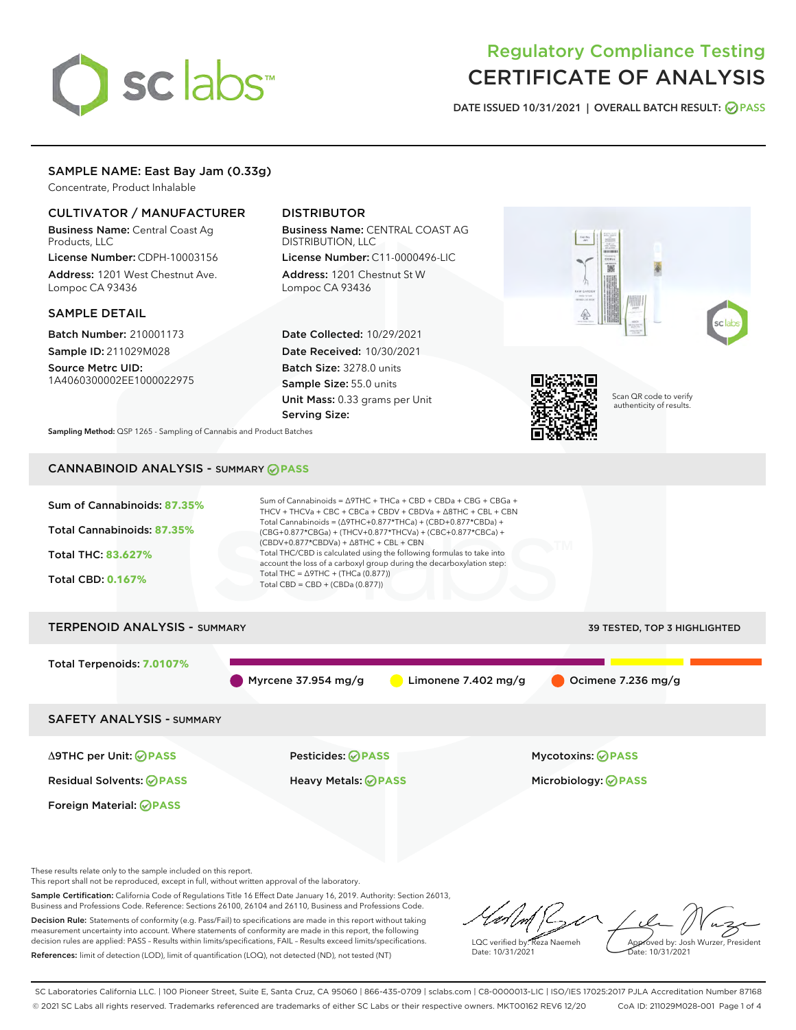# sclabs<sup>\*</sup>

# Regulatory Compliance Testing CERTIFICATE OF ANALYSIS

DATE ISSUED 10/31/2021 | OVERALL BATCH RESULT: @ PASS

# SAMPLE NAME: East Bay Jam (0.33g)

Concentrate, Product Inhalable

# CULTIVATOR / MANUFACTURER

Business Name: Central Coast Ag Products, LLC License Number: CDPH-10003156

Address: 1201 West Chestnut Ave. Lompoc CA 93436

#### SAMPLE DETAIL

Batch Number: 210001173 Sample ID: 211029M028

Source Metrc UID: 1A4060300002EE1000022975

# DISTRIBUTOR

Business Name: CENTRAL COAST AG DISTRIBUTION, LLC License Number: C11-0000496-LIC

Address: 1201 Chestnut St W Lompoc CA 93436

Date Collected: 10/29/2021 Date Received: 10/30/2021 Batch Size: 3278.0 units Sample Size: 55.0 units Unit Mass: 0.33 grams per Unit Serving Size:



Sampling Method: QSP 1265 - Sampling of Cannabis and Product Batches

# CANNABINOID ANALYSIS - SUMMARY **PASS**



Total Terpenoids: **7.0107%**

Myrcene 37.954 mg/g  $\bigcirc$  Limonene 7.402 mg/g  $\bigcirc$  Ocimene 7.236 mg/g

SAFETY ANALYSIS - SUMMARY

Δ9THC per Unit: **PASS** Pesticides: **PASS** Mycotoxins: **PASS**

Foreign Material: **PASS**

Residual Solvents: **PASS** Heavy Metals: **PASS** Microbiology: **PASS**

These results relate only to the sample included on this report.

This report shall not be reproduced, except in full, without written approval of the laboratory.

Sample Certification: California Code of Regulations Title 16 Effect Date January 16, 2019. Authority: Section 26013, Business and Professions Code. Reference: Sections 26100, 26104 and 26110, Business and Professions Code. Decision Rule: Statements of conformity (e.g. Pass/Fail) to specifications are made in this report without taking

measurement uncertainty into account. Where statements of conformity are made in this report, the following decision rules are applied: PASS – Results within limits/specifications, FAIL – Results exceed limits/specifications. References: limit of detection (LOD), limit of quantification (LOQ), not detected (ND), not tested (NT)

LQC verified by: Reza Naemeh Date: 10/31/2021 Approved by: Josh Wurzer, President Date: 10/31/2021

SC Laboratories California LLC. | 100 Pioneer Street, Suite E, Santa Cruz, CA 95060 | 866-435-0709 | sclabs.com | C8-0000013-LIC | ISO/IES 17025:2017 PJLA Accreditation Number 87168 © 2021 SC Labs all rights reserved. Trademarks referenced are trademarks of either SC Labs or their respective owners. MKT00162 REV6 12/20 CoA ID: 211029M028-001 Page 1 of 4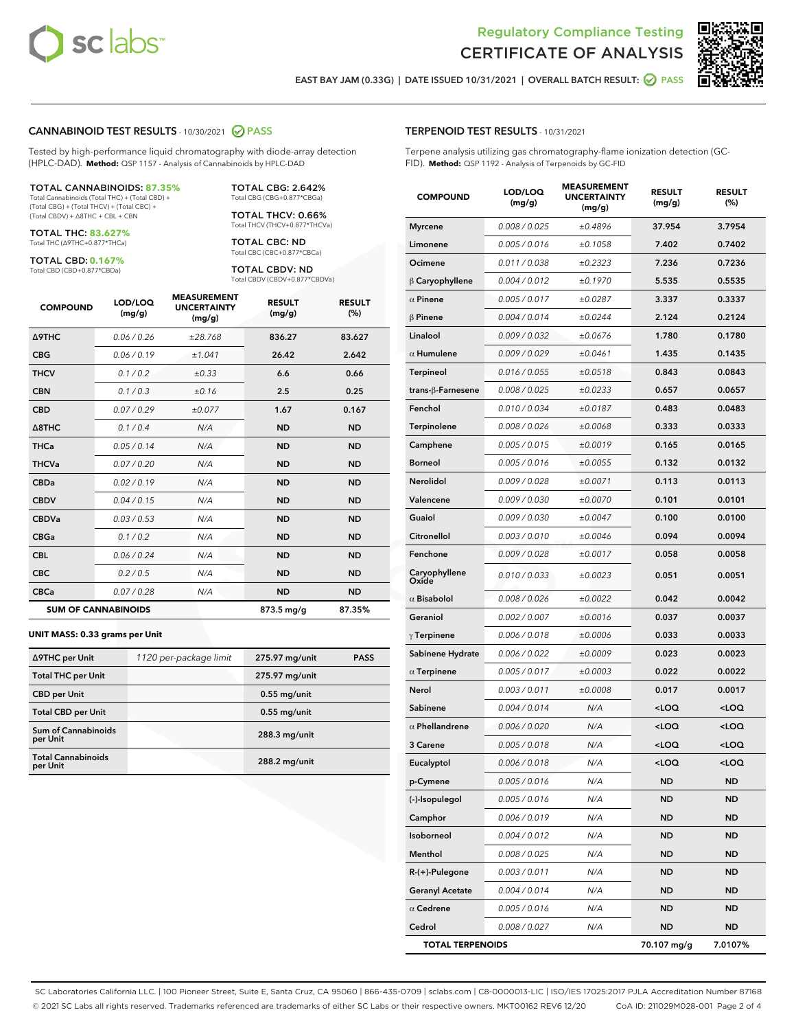

Terpene analysis utilizing gas chromatography-flame ionization detection (GC-

MEASUREMENT



EAST BAY JAM (0.33G) | DATE ISSUED 10/31/2021 | OVERALL BATCH RESULT: @ PASS

TERPENOID TEST RESULTS - 10/31/2021

FID). **Method:** QSP 1192 - Analysis of Terpenoids by GC-FID

#### CANNABINOID TEST RESULTS - 10/30/2021 2 PASS

Tested by high-performance liquid chromatography with diode-array detection (HPLC-DAD). **Method:** QSP 1157 - Analysis of Cannabinoids by HPLC-DAD

#### TOTAL CANNABINOIDS: **87.35%**

Total Cannabinoids (Total THC) + (Total CBD) + (Total CBG) + (Total THCV) + (Total CBC) + (Total CBDV) + ∆8THC + CBL + CBN

TOTAL THC: **83.627%** Total THC (∆9THC+0.877\*THCa)

TOTAL CBD: **0.167%**

Total CBD (CBD+0.877\*CBDa)

TOTAL CBG: 2.642% Total CBG (CBG+0.877\*CBGa)

TOTAL THCV: 0.66% Total THCV (THCV+0.877\*THCVa)

TOTAL CBC: ND Total CBC (CBC+0.877\*CBCa)

TOTAL CBDV: ND Total CBDV (CBDV+0.877\*CBDVa)

| <b>COMPOUND</b>  | LOD/LOQ<br>(mg/g)          | <b>MEASUREMENT</b><br><b>UNCERTAINTY</b><br>(mg/g) | <b>RESULT</b><br>(mg/g) | <b>RESULT</b><br>(%) |
|------------------|----------------------------|----------------------------------------------------|-------------------------|----------------------|
| <b>A9THC</b>     | 0.06/0.26                  | ±28.768                                            | 836.27                  | 83.627               |
| <b>CBG</b>       | 0.06/0.19                  | ±1.041                                             | 26.42                   | 2.642                |
| <b>THCV</b>      | 0.1 / 0.2                  | ±0.33                                              | 6.6                     | 0.66                 |
| <b>CBN</b>       | 0.1/0.3                    | ±0.16                                              | 2.5                     | 0.25                 |
| <b>CBD</b>       | 0.07/0.29                  | ±0.077                                             | 1.67                    | 0.167                |
| $\triangle$ 8THC | 0.1/0.4                    | N/A                                                | <b>ND</b>               | <b>ND</b>            |
| <b>THCa</b>      | 0.05/0.14                  | N/A                                                | <b>ND</b>               | <b>ND</b>            |
| <b>THCVa</b>     | 0.07/0.20                  | N/A                                                | <b>ND</b>               | <b>ND</b>            |
| <b>CBDa</b>      | 0.02/0.19                  | N/A                                                | <b>ND</b>               | <b>ND</b>            |
| <b>CBDV</b>      | 0.04/0.15                  | N/A                                                | <b>ND</b>               | <b>ND</b>            |
| <b>CBDVa</b>     | 0.03/0.53                  | N/A                                                | <b>ND</b>               | <b>ND</b>            |
| <b>CBGa</b>      | 0.1 / 0.2                  | N/A                                                | <b>ND</b>               | <b>ND</b>            |
| <b>CBL</b>       | 0.06 / 0.24                | N/A                                                | <b>ND</b>               | <b>ND</b>            |
| <b>CBC</b>       | 0.2 / 0.5                  | N/A                                                | <b>ND</b>               | <b>ND</b>            |
| <b>CBCa</b>      | 0.07 / 0.28                | N/A                                                | <b>ND</b>               | <b>ND</b>            |
|                  | <b>SUM OF CANNABINOIDS</b> |                                                    | 873.5 mg/g              | 87.35%               |

#### **UNIT MASS: 0.33 grams per Unit**

| ∆9THC per Unit                        | 1120 per-package limit | 275.97 mg/unit | <b>PASS</b> |
|---------------------------------------|------------------------|----------------|-------------|
| <b>Total THC per Unit</b>             |                        | 275.97 mg/unit |             |
| <b>CBD</b> per Unit                   |                        | $0.55$ mg/unit |             |
| <b>Total CBD per Unit</b>             |                        | $0.55$ mg/unit |             |
| Sum of Cannabinoids<br>per Unit       |                        | 288.3 mg/unit  |             |
| <b>Total Cannabinoids</b><br>per Unit |                        | 288.2 mg/unit  |             |

| <b>COMPOUND</b>         | LOD/LOQ<br>(mg/g) | <b>MEASUREMENT</b><br><b>UNCERTAINTY</b><br>(mg/g) | <b>RESULT</b><br>(mg/g)                         | <b>RESULT</b><br>$(\%)$ |
|-------------------------|-------------------|----------------------------------------------------|-------------------------------------------------|-------------------------|
| Myrcene                 | 0.008 / 0.025     | ±0.4896                                            | 37.954                                          | 3.7954                  |
| Limonene                | 0.005 / 0.016     | ±0.1058                                            | 7.402                                           | 0.7402                  |
| Ocimene                 | 0.011 / 0.038     | ±0.2323                                            | 7.236                                           | 0.7236                  |
| $\upbeta$ Caryophyllene | 0.004 / 0.012     | ±0.1970                                            | 5.535                                           | 0.5535                  |
| $\alpha$ Pinene         | 0.005 / 0.017     | ±0.0287                                            | 3.337                                           | 0.3337                  |
| β Pinene                | 0.004 / 0.014     | ±0.0244                                            | 2.124                                           | 0.2124                  |
| Linalool                | 0.009 / 0.032     | ±0.0676                                            | 1.780                                           | 0.1780                  |
| $\alpha$ Humulene       | 0.009/0.029       | ±0.0461                                            | 1.435                                           | 0.1435                  |
| Terpineol               | 0.016 / 0.055     | ±0.0518                                            | 0.843                                           | 0.0843                  |
| trans-β-Farnesene       | 0.008 / 0.025     | ±0.0233                                            | 0.657                                           | 0.0657                  |
| Fenchol                 | 0.010 / 0.034     | ±0.0187                                            | 0.483                                           | 0.0483                  |
| Terpinolene             | 0.008 / 0.026     | ±0.0068                                            | 0.333                                           | 0.0333                  |
| Camphene                | 0.005 / 0.015     | ±0.0019                                            | 0.165                                           | 0.0165                  |
| Borneol                 | 0.005 / 0.016     | ±0.0055                                            | 0.132                                           | 0.0132                  |
| Nerolidol               | 0.009 / 0.028     | ±0.0071                                            | 0.113                                           | 0.0113                  |
| Valencene               | 0.009 / 0.030     | ±0.0070                                            | 0.101                                           | 0.0101                  |
| Guaiol                  | 0.009 / 0.030     | ±0.0047                                            | 0.100                                           | 0.0100                  |
| Citronellol             | 0.003 / 0.010     | ±0.0046                                            | 0.094                                           | 0.0094                  |
| Fenchone                | 0.009 / 0.028     | ±0.0017                                            | 0.058                                           | 0.0058                  |
| Caryophyllene<br>Oxide  | 0.010 / 0.033     | ±0.0023                                            | 0.051                                           | 0.0051                  |
| $\alpha$ Bisabolol      | 0.008 / 0.026     | ±0.0022                                            | 0.042                                           | 0.0042                  |
| Geraniol                | 0.002 / 0.007     | ±0.0016                                            | 0.037                                           | 0.0037                  |
| $\gamma$ Terpinene      | 0.006 / 0.018     | ±0.0006                                            | 0.033                                           | 0.0033                  |
| Sabinene Hydrate        | 0.006 / 0.022     | ±0.0009                                            | 0.023                                           | 0.0023                  |
| $\alpha$ Terpinene      | 0.005 / 0.017     | ±0.0003                                            | 0.022                                           | 0.0022                  |
| Nerol                   | 0.003 / 0.011     | ±0.0008                                            | 0.017                                           | 0.0017                  |
| Sabinene                | 0.004 / 0.014     | N/A                                                | <loq< th=""><th><loq< th=""></loq<></th></loq<> | <loq< th=""></loq<>     |
| $\alpha$ Phellandrene   | 0.006 / 0.020     | N/A                                                | <loq< th=""><th><loq< th=""></loq<></th></loq<> | <loq< th=""></loq<>     |
| <b>3 Carene</b>         | 0.005 / 0.018     | N/A                                                | <loq< th=""><th><loq< th=""></loq<></th></loq<> | <loq< th=""></loq<>     |
| Eucalyptol              | 0.006 / 0.018     | N/A                                                | <loq< th=""><th><loq< th=""></loq<></th></loq<> | <loq< th=""></loq<>     |
| p-Cymene                | 0.005 / 0.016     | N/A                                                | <b>ND</b>                                       | <b>ND</b>               |
| (-)-Isopulegol          | 0.005 / 0.016     | N/A                                                | <b>ND</b>                                       | ND                      |

Camphor 0.006 / 0.019 N/A ND ND Isoborneol 0.004 / 0.012 N/A ND ND Menthol 0.008 / 0.025 N/A ND ND R-(+)-Pulegone 0.003 / 0.011 N/A ND ND Geranyl Acetate  $0.004 / 0.014$  N/A ND ND  $\alpha$  Cedrene  $0.005 / 0.016$  N/A ND ND Cedrol 0.008 / 0.027 N/A ND ND TOTAL TERPENOIDS 70.107 mg/g 7.0107%

SC Laboratories California LLC. | 100 Pioneer Street, Suite E, Santa Cruz, CA 95060 | 866-435-0709 | sclabs.com | C8-0000013-LIC | ISO/IES 17025:2017 PJLA Accreditation Number 87168 © 2021 SC Labs all rights reserved. Trademarks referenced are trademarks of either SC Labs or their respective owners. MKT00162 REV6 12/20 CoA ID: 211029M028-001 Page 2 of 4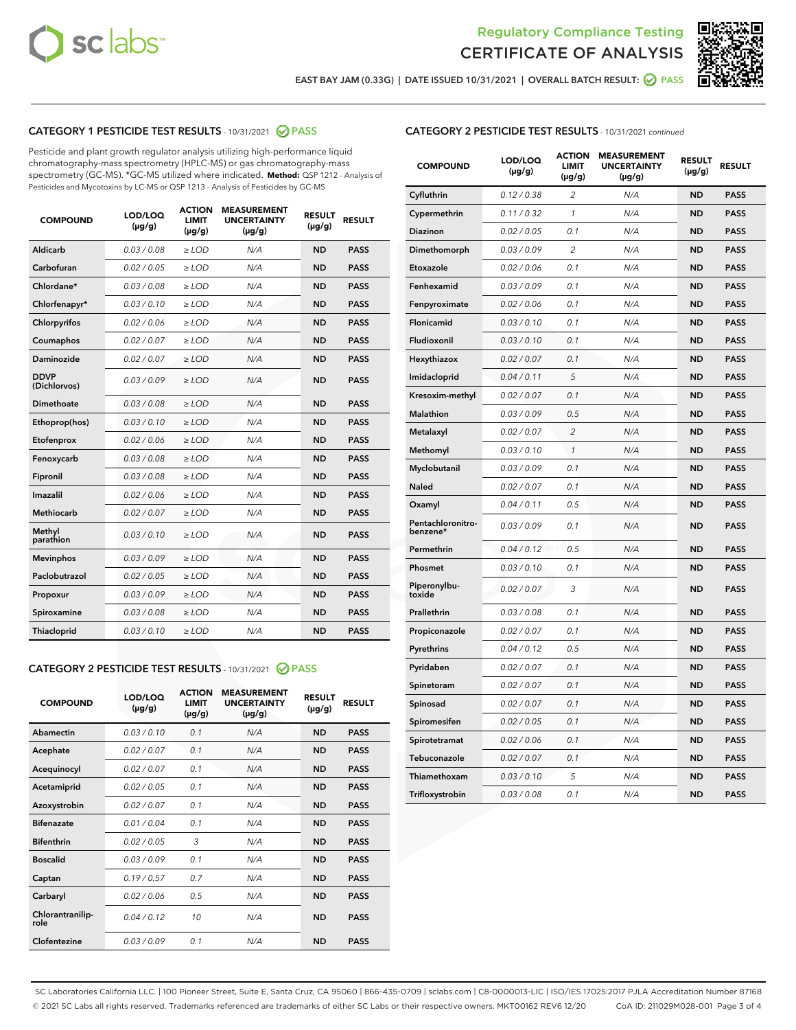



EAST BAY JAM (0.33G) | DATE ISSUED 10/31/2021 | OVERALL BATCH RESULT:  $\bigcirc$  PASS

# CATEGORY 1 PESTICIDE TEST RESULTS - 10/31/2021 2 PASS

Pesticide and plant growth regulator analysis utilizing high-performance liquid chromatography-mass spectrometry (HPLC-MS) or gas chromatography-mass spectrometry (GC-MS). \*GC-MS utilized where indicated. **Method:** QSP 1212 - Analysis of Pesticides and Mycotoxins by LC-MS or QSP 1213 - Analysis of Pesticides by GC-MS

| <b>COMPOUND</b>             | LOD/LOQ<br>$(\mu g/g)$ | <b>ACTION</b><br><b>LIMIT</b><br>$(\mu q/q)$ | <b>MEASUREMENT</b><br><b>UNCERTAINTY</b><br>$(\mu g/g)$ | <b>RESULT</b><br>$(\mu g/g)$ | <b>RESULT</b> |
|-----------------------------|------------------------|----------------------------------------------|---------------------------------------------------------|------------------------------|---------------|
| Aldicarb                    | 0.03 / 0.08            | $\ge$ LOD                                    | N/A                                                     | <b>ND</b>                    | <b>PASS</b>   |
| Carbofuran                  | 0.02 / 0.05            | $\ge$ LOD                                    | N/A                                                     | <b>ND</b>                    | <b>PASS</b>   |
| Chlordane*                  | 0.03 / 0.08            | $\ge$ LOD                                    | N/A                                                     | <b>ND</b>                    | <b>PASS</b>   |
| Chlorfenapyr*               | 0.03/0.10              | $\ge$ LOD                                    | N/A                                                     | <b>ND</b>                    | <b>PASS</b>   |
| Chlorpyrifos                | 0.02 / 0.06            | $\ge$ LOD                                    | N/A                                                     | <b>ND</b>                    | <b>PASS</b>   |
| Coumaphos                   | 0.02 / 0.07            | $\ge$ LOD                                    | N/A                                                     | <b>ND</b>                    | <b>PASS</b>   |
| Daminozide                  | 0.02 / 0.07            | $\ge$ LOD                                    | N/A                                                     | <b>ND</b>                    | <b>PASS</b>   |
| <b>DDVP</b><br>(Dichlorvos) | 0.03/0.09              | $>$ LOD                                      | N/A                                                     | <b>ND</b>                    | <b>PASS</b>   |
| Dimethoate                  | 0.03 / 0.08            | $\ge$ LOD                                    | N/A                                                     | <b>ND</b>                    | <b>PASS</b>   |
| Ethoprop(hos)               | 0.03/0.10              | $\ge$ LOD                                    | N/A                                                     | <b>ND</b>                    | <b>PASS</b>   |
| Etofenprox                  | 0.02/0.06              | $>$ LOD                                      | N/A                                                     | <b>ND</b>                    | <b>PASS</b>   |
| Fenoxycarb                  | 0.03 / 0.08            | $\ge$ LOD                                    | N/A                                                     | <b>ND</b>                    | <b>PASS</b>   |
| Fipronil                    | 0.03/0.08              | $>$ LOD                                      | N/A                                                     | <b>ND</b>                    | <b>PASS</b>   |
| Imazalil                    | 0.02 / 0.06            | $\ge$ LOD                                    | N/A                                                     | <b>ND</b>                    | <b>PASS</b>   |
| Methiocarb                  | 0.02 / 0.07            | $\ge$ LOD                                    | N/A                                                     | <b>ND</b>                    | <b>PASS</b>   |
| Methyl<br>parathion         | 0.03/0.10              | $>$ LOD                                      | N/A                                                     | <b>ND</b>                    | <b>PASS</b>   |
| <b>Mevinphos</b>            | 0.03/0.09              | $>$ LOD                                      | N/A                                                     | <b>ND</b>                    | <b>PASS</b>   |
| Paclobutrazol               | 0.02 / 0.05            | $\ge$ LOD                                    | N/A                                                     | <b>ND</b>                    | <b>PASS</b>   |
| Propoxur                    | 0.03 / 0.09            | $\ge$ LOD                                    | N/A                                                     | <b>ND</b>                    | <b>PASS</b>   |
| Spiroxamine                 | 0.03 / 0.08            | $\ge$ LOD                                    | N/A                                                     | <b>ND</b>                    | <b>PASS</b>   |
| Thiacloprid                 | 0.03/0.10              | $\ge$ LOD                                    | N/A                                                     | <b>ND</b>                    | <b>PASS</b>   |

#### CATEGORY 2 PESTICIDE TEST RESULTS - 10/31/2021 @ PASS

| <b>COMPOUND</b>          | LOD/LOO<br>$(\mu g/g)$ | <b>ACTION</b><br>LIMIT<br>$(\mu g/g)$ | <b>MEASUREMENT</b><br><b>UNCERTAINTY</b><br>$(\mu g/g)$ | <b>RESULT</b><br>$(\mu g/g)$ | <b>RESULT</b> |
|--------------------------|------------------------|---------------------------------------|---------------------------------------------------------|------------------------------|---------------|
| Abamectin                | 0.03/0.10              | 0.1                                   | N/A                                                     | <b>ND</b>                    | <b>PASS</b>   |
| Acephate                 | 0.02/0.07              | 0.1                                   | N/A                                                     | <b>ND</b>                    | <b>PASS</b>   |
| Acequinocyl              | 0.02/0.07              | 0.1                                   | N/A                                                     | <b>ND</b>                    | <b>PASS</b>   |
| Acetamiprid              | 0.02/0.05              | 0.1                                   | N/A                                                     | <b>ND</b>                    | <b>PASS</b>   |
| Azoxystrobin             | 0.02/0.07              | 0.1                                   | N/A                                                     | <b>ND</b>                    | <b>PASS</b>   |
| <b>Bifenazate</b>        | 0.01/0.04              | 0.1                                   | N/A                                                     | <b>ND</b>                    | <b>PASS</b>   |
| <b>Bifenthrin</b>        | 0.02 / 0.05            | 3                                     | N/A                                                     | <b>ND</b>                    | <b>PASS</b>   |
| <b>Boscalid</b>          | 0.03/0.09              | 0.1                                   | N/A                                                     | <b>ND</b>                    | <b>PASS</b>   |
| Captan                   | 0.19/0.57              | 0.7                                   | N/A                                                     | <b>ND</b>                    | <b>PASS</b>   |
| Carbaryl                 | 0.02/0.06              | 0.5                                   | N/A                                                     | <b>ND</b>                    | <b>PASS</b>   |
| Chlorantranilip-<br>role | 0.04/0.12              | 10                                    | N/A                                                     | <b>ND</b>                    | <b>PASS</b>   |
| Clofentezine             | 0.03/0.09              | 0.1                                   | N/A                                                     | <b>ND</b>                    | <b>PASS</b>   |

## CATEGORY 2 PESTICIDE TEST RESULTS - 10/31/2021 continued

| <b>COMPOUND</b>               | LOD/LOQ<br>(µg/g) | <b>ACTION</b><br><b>LIMIT</b><br>(µg/g) | <b>MEASUREMENT</b><br><b>UNCERTAINTY</b><br>$(\mu g/g)$ | <b>RESULT</b><br>(µg/g) | <b>RESULT</b> |
|-------------------------------|-------------------|-----------------------------------------|---------------------------------------------------------|-------------------------|---------------|
| Cyfluthrin                    | 0.12 / 0.38       | $\overline{c}$                          | N/A                                                     | <b>ND</b>               | <b>PASS</b>   |
| Cypermethrin                  | 0.11 / 0.32       | 1                                       | N/A                                                     | <b>ND</b>               | <b>PASS</b>   |
| Diazinon                      | 0.02 / 0.05       | 0.1                                     | N/A                                                     | <b>ND</b>               | <b>PASS</b>   |
| Dimethomorph                  | 0.03 / 0.09       | 2                                       | N/A                                                     | ND                      | <b>PASS</b>   |
| Etoxazole                     | 0.02 / 0.06       | 0.1                                     | N/A                                                     | <b>ND</b>               | <b>PASS</b>   |
| Fenhexamid                    | 0.03 / 0.09       | 0.1                                     | N/A                                                     | ND                      | <b>PASS</b>   |
| Fenpyroximate                 | 0.02 / 0.06       | 0.1                                     | N/A                                                     | <b>ND</b>               | <b>PASS</b>   |
| Flonicamid                    | 0.03 / 0.10       | 0.1                                     | N/A                                                     | ND                      | <b>PASS</b>   |
| Fludioxonil                   | 0.03 / 0.10       | 0.1                                     | N/A                                                     | <b>ND</b>               | <b>PASS</b>   |
| Hexythiazox                   | 0.02 / 0.07       | 0.1                                     | N/A                                                     | ND                      | <b>PASS</b>   |
| Imidacloprid                  | 0.04 / 0.11       | 5                                       | N/A                                                     | ND                      | <b>PASS</b>   |
| Kresoxim-methyl               | 0.02 / 0.07       | 0.1                                     | N/A                                                     | <b>ND</b>               | <b>PASS</b>   |
| <b>Malathion</b>              | 0.03 / 0.09       | 0.5                                     | N/A                                                     | ND                      | <b>PASS</b>   |
| Metalaxyl                     | 0.02 / 0.07       | $\overline{c}$                          | N/A                                                     | ND                      | <b>PASS</b>   |
| Methomyl                      | 0.03 / 0.10       | 1                                       | N/A                                                     | <b>ND</b>               | <b>PASS</b>   |
| Myclobutanil                  | 0.03 / 0.09       | 0.1                                     | N/A                                                     | ND                      | <b>PASS</b>   |
| Naled                         | 0.02 / 0.07       | 0.1                                     | N/A                                                     | ND                      | <b>PASS</b>   |
| Oxamyl                        | 0.04 / 0.11       | 0.5                                     | N/A                                                     | ND                      | <b>PASS</b>   |
| Pentachloronitro-<br>benzene* | 0.03 / 0.09       | 0.1                                     | N/A                                                     | ND                      | <b>PASS</b>   |
| Permethrin                    | 0.04 / 0.12       | 0.5                                     | N/A                                                     | <b>ND</b>               | <b>PASS</b>   |
| Phosmet                       | 0.03/0.10         | 0.1                                     | N/A                                                     | ND                      | <b>PASS</b>   |
| Piperonylbu-<br>toxide        | 0.02 / 0.07       | 3                                       | N/A                                                     | ND                      | <b>PASS</b>   |
| Prallethrin                   | 0.03 / 0.08       | 0.1                                     | N/A                                                     | <b>ND</b>               | <b>PASS</b>   |
| Propiconazole                 | 0.02 / 0.07       | 0.1                                     | N/A                                                     | ND                      | <b>PASS</b>   |
| Pyrethrins                    | 0.04 / 0.12       | 0.5                                     | N/A                                                     | ND                      | <b>PASS</b>   |
| Pyridaben                     | 0.02 / 0.07       | 0.1                                     | N/A                                                     | ND                      | <b>PASS</b>   |
| Spinetoram                    | 0.02 / 0.07       | 0.1                                     | N/A                                                     | ND                      | <b>PASS</b>   |
| Spinosad                      | 0.02 / 0.07       | 0.1                                     | N/A                                                     | ND                      | <b>PASS</b>   |
| Spiromesifen                  | 0.02 / 0.05       | 0.1                                     | N/A                                                     | ND                      | <b>PASS</b>   |
| Spirotetramat                 | 0.02 / 0.06       | 0.1                                     | N/A                                                     | ND                      | <b>PASS</b>   |
| Tebuconazole                  | 0.02 / 0.07       | 0.1                                     | N/A                                                     | ND                      | <b>PASS</b>   |
| Thiamethoxam                  | 0.03 / 0.10       | 5                                       | N/A                                                     | ND                      | <b>PASS</b>   |
| Trifloxystrobin               | 0.03 / 0.08       | 0.1                                     | N/A                                                     | <b>ND</b>               | <b>PASS</b>   |

SC Laboratories California LLC. | 100 Pioneer Street, Suite E, Santa Cruz, CA 95060 | 866-435-0709 | sclabs.com | C8-0000013-LIC | ISO/IES 17025:2017 PJLA Accreditation Number 87168 © 2021 SC Labs all rights reserved. Trademarks referenced are trademarks of either SC Labs or their respective owners. MKT00162 REV6 12/20 CoA ID: 211029M028-001 Page 3 of 4